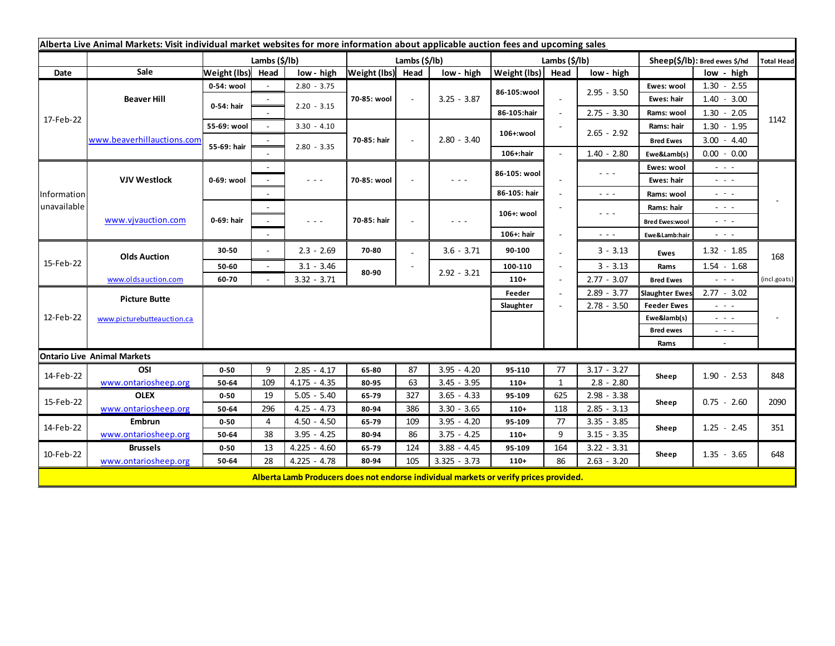| Alberta Live Animal Markets: Visit individual market websites for more information about applicable auction fees and upcoming sales |                            |                       |        |                                                                                                |                   |        |                                                                                                                           |               |                          |                      |                       |                                                                                                                           |                   |
|-------------------------------------------------------------------------------------------------------------------------------------|----------------------------|-----------------------|--------|------------------------------------------------------------------------------------------------|-------------------|--------|---------------------------------------------------------------------------------------------------------------------------|---------------|--------------------------|----------------------|-----------------------|---------------------------------------------------------------------------------------------------------------------------|-------------------|
|                                                                                                                                     |                            | Lambs $(\frac{2}{3})$ |        |                                                                                                | Lambs (\$/lb)     |        |                                                                                                                           | Lambs (\$/lb) |                          |                      |                       | Sheep(\$/lb): Bred ewes \$/hd                                                                                             | <b>Total Head</b> |
| Date                                                                                                                                | Sale                       | Weight (lbs)          | Head   | low - high                                                                                     | Weight (lbs) Head |        | low - high                                                                                                                | Weight (lbs)  | Head                     | low - high           |                       | low - high                                                                                                                |                   |
| 17-Feb-22                                                                                                                           | <b>Beaver Hill</b>         | 0-54: wool            |        | $2.80 - 3.75$                                                                                  |                   | $\sim$ | $3.25 - 3.87$                                                                                                             | 86-105:wool   |                          |                      | Ewes: wool            | $1.30 - 2.55$                                                                                                             |                   |
|                                                                                                                                     |                            | 0-54: hair            |        | $2.20 - 3.15$                                                                                  | 70-85: wool       |        |                                                                                                                           |               |                          | $2.95 - 3.50$        | Ewes: hair            | $1.40 - 3.00$                                                                                                             |                   |
|                                                                                                                                     |                            |                       |        |                                                                                                |                   |        |                                                                                                                           | 86-105:hair   | $\blacksquare$           | $2.75 - 3.30$        | Rams: wool            | $1.30 - 2.05$                                                                                                             |                   |
|                                                                                                                                     | www.beaverhillauctions.com | 55-69: wool           |        | $3.30 - 4.10$                                                                                  | 70-85: hair       |        | $2.80 - 3.40$                                                                                                             | 106+:wool     |                          | $2.65 - 2.92$        | Rams: hair            | $1.30 - 1.95$                                                                                                             | 1142              |
|                                                                                                                                     |                            | 55-69: hair           |        | $2.80 - 3.35$                                                                                  |                   |        |                                                                                                                           |               |                          |                      | <b>Bred Ewes</b>      | $3.00 - 4.40$                                                                                                             |                   |
|                                                                                                                                     |                            |                       |        |                                                                                                |                   |        |                                                                                                                           | 106+:hair     |                          | $1.40 - 2.80$        | Ewe&Lamb(s)           | $0.00 - 0.00$                                                                                                             |                   |
| Information<br>unavailable                                                                                                          | <b>VJV Westlock</b>        | 0-69: wool            |        |                                                                                                | 70-85: wool       |        | $  -$                                                                                                                     | 86-105: wool  |                          | $\sim$ $\sim$ $\sim$ | Ewes: wool            | $\sim$ $\sim$ $\sim$                                                                                                      |                   |
|                                                                                                                                     |                            |                       |        | $\frac{1}{2} \left( \frac{1}{2} \right) \left( \frac{1}{2} \right) \left( \frac{1}{2} \right)$ |                   |        |                                                                                                                           |               |                          |                      | Ewes: hair            | - - -                                                                                                                     |                   |
|                                                                                                                                     |                            |                       |        |                                                                                                |                   |        |                                                                                                                           | 86-105: hair  |                          | $\sim$ $\sim$ $\sim$ | Rams: wool            | $\sim$ $\sim$ $\sim$                                                                                                      |                   |
|                                                                                                                                     | www.vjvauction.com         | 0-69: hair            |        |                                                                                                | 70-85: hair       |        | $\frac{1}{2} \left( \frac{1}{2} \right) \left( \frac{1}{2} \right) \left( \frac{1}{2} \right) \left( \frac{1}{2} \right)$ | 106+: wool    |                          | $  -$                | Rams: hair            | $\frac{1}{2} \left( \frac{1}{2} \right) \frac{1}{2} \left( \frac{1}{2} \right) \frac{1}{2} \left( \frac{1}{2} \right)$    |                   |
|                                                                                                                                     |                            |                       |        | - - -                                                                                          |                   |        |                                                                                                                           |               |                          |                      | <b>Bred Ewes:wool</b> | الداريات                                                                                                                  |                   |
|                                                                                                                                     |                            |                       |        |                                                                                                |                   |        |                                                                                                                           | 106+: hair    |                          | $\sim$ $\sim$ $\sim$ | Ewe&Lamb:hair         | - - -                                                                                                                     |                   |
| 15-Feb-22                                                                                                                           | <b>Olds Auction</b>        | 30-50                 |        | $2.3 - 2.69$                                                                                   | 70-80             |        | $3.6 - 3.71$                                                                                                              | 90-100        |                          | $3 - 3.13$           | <b>Ewes</b>           | $1.32 - 1.85$                                                                                                             | 168               |
|                                                                                                                                     |                            | 50-60                 | $\sim$ | $3.1 - 3.46$                                                                                   |                   |        |                                                                                                                           | 100-110       |                          | $3 - 3.13$           | Rams                  | $1.54 - 1.68$                                                                                                             |                   |
|                                                                                                                                     | www.oldsauction.com        | 60-70                 |        | $3.32 - 3.71$                                                                                  | 80-90             |        | $2.92 - 3.21$                                                                                                             | $110+$        | $\overline{\phantom{a}}$ | $2.77 - 3.07$        | <b>Bred Ewes</b>      | $\omega_{\rm{eff}}$ and $\omega_{\rm{eff}}$                                                                               | (incl.goats)      |
| 12-Feb-22                                                                                                                           | <b>Picture Butte</b>       |                       |        |                                                                                                |                   |        |                                                                                                                           | Feeder        |                          | $2.89 - 3.77$        | <b>Slaughter Ewes</b> | $2.77 - 3.02$                                                                                                             |                   |
|                                                                                                                                     |                            |                       |        |                                                                                                |                   |        | Slaughter                                                                                                                 | $2.78 - 3.50$ |                          | <b>Feeder Ewes</b>   | - - -                 |                                                                                                                           |                   |
|                                                                                                                                     | www.picturebutteauction.ca |                       |        |                                                                                                |                   |        |                                                                                                                           |               |                          |                      | Ewe&lamb(s)           | $\frac{1}{2} \left( \frac{1}{2} \right) \left( \frac{1}{2} \right) \left( \frac{1}{2} \right) \left( \frac{1}{2} \right)$ |                   |
|                                                                                                                                     |                            |                       |        |                                                                                                |                   |        |                                                                                                                           |               |                          |                      | <b>Bred ewes</b>      | $ -$                                                                                                                      |                   |
|                                                                                                                                     |                            |                       |        |                                                                                                |                   |        |                                                                                                                           |               |                          |                      | Rams                  | $\sim$                                                                                                                    |                   |
| <b>Ontario Live Animal Markets</b>                                                                                                  |                            |                       |        |                                                                                                |                   |        |                                                                                                                           |               |                          |                      |                       |                                                                                                                           |                   |
| 14-Feb-22                                                                                                                           | OSI                        | $0 - 50$              | 9      | $2.85 - 4.17$                                                                                  | 65-80             | 87     | $3.95 - 4.20$                                                                                                             | 95-110        | 77                       | $3.17 - 3.27$        | Sheep                 | $1.90 - 2.53$                                                                                                             | 848               |
|                                                                                                                                     | www.ontariosheep.org       | 50-64                 | 109    | $4.175 - 4.35$                                                                                 | 80-95             | 63     | $3.45 - 3.95$                                                                                                             | $110+$        | 1                        | $2.8 - 2.80$         |                       |                                                                                                                           |                   |
| 15-Feb-22                                                                                                                           | <b>OLEX</b>                | $0 - 50$              | 19     | $5.05 - 5.40$                                                                                  | 65-79             | 327    | $3.65 - 4.33$                                                                                                             | 95-109        | 625                      | $2.98 - 3.38$        | Sheep                 | $0.75 - 2.60$                                                                                                             | 2090              |
|                                                                                                                                     | www.ontariosheep.org       | 50-64                 | 296    | $4.25 - 4.73$                                                                                  | 80-94             | 386    | $3.30 - 3.65$                                                                                                             | $110+$        | 118                      | $2.85 - 3.13$        |                       |                                                                                                                           |                   |
| 14-Feb-22                                                                                                                           | <b>Embrun</b>              | $0 - 50$              | 4      | $4.50 - 4.50$                                                                                  | 65-79             | 109    | $3.95 - 4.20$                                                                                                             | 95-109        | 77                       | $3.35 - 3.85$        | Sheep                 | $1.25 - 2.45$                                                                                                             | 351               |
|                                                                                                                                     | www.ontariosheep.org       | 50-64                 | 38     | $3.95 - 4.25$                                                                                  | 80-94             | 86     | $3.75 - 4.25$                                                                                                             | $110+$        | 9                        | $3.15 - 3.35$        |                       |                                                                                                                           |                   |
| 10-Feb-22                                                                                                                           | <b>Brussels</b>            | $0 - 50$              | 13     | $4.225 - 4.60$                                                                                 | 65-79             | 124    | $3.88 - 4.45$                                                                                                             | 95-109        | 164                      | $3.22 - 3.31$        | Sheep                 | $1.35 - 3.65$                                                                                                             | 648               |
|                                                                                                                                     | www.ontariosheep.org       | 50-64                 | 28     | $4.225 - 4.78$                                                                                 | 80-94             | 105    | $3.325 - 3.73$                                                                                                            | $110+$        | 86                       | $2.63 - 3.20$        |                       |                                                                                                                           |                   |
|                                                                                                                                     |                            |                       |        | Alberta Lamb Producers does not endorse individual markets or verify prices provided.          |                   |        |                                                                                                                           |               |                          |                      |                       |                                                                                                                           |                   |